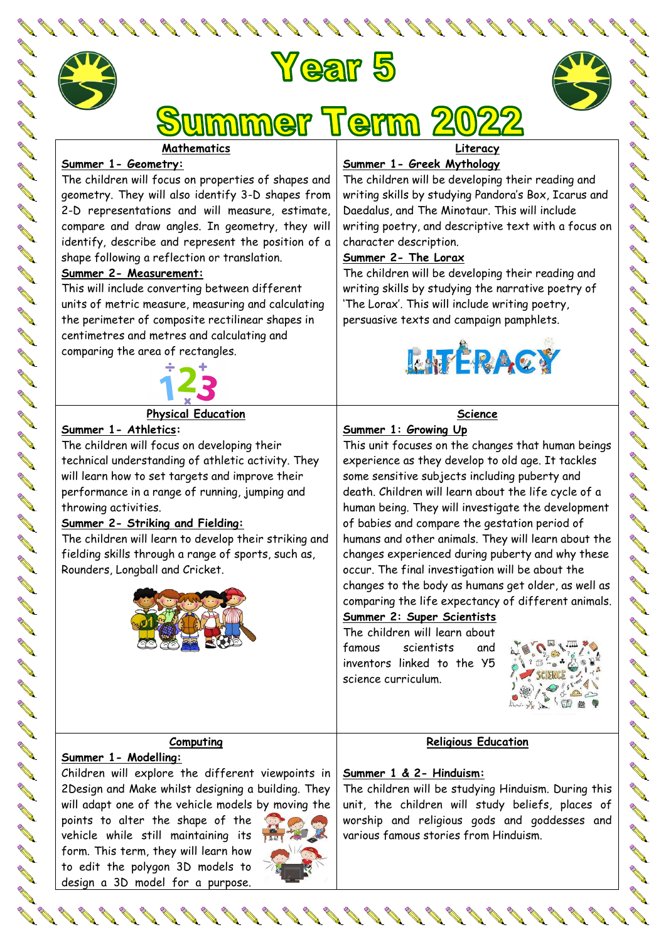

**Contract of the Contract of the Contract of the Contract of the Contract of The Contract of The Contract of The Contract of The Contract of The Contract of The Contract of The Contract of The Contract of The Contract of T** 

**AND** 

**ARK** 

**AND ANTICATE** 





# mmer Term

#### **Mathematics**

#### **Summer 1- Geometry:**

The children will focus on properties of shapes and geometry. They will also identify 3-D shapes from 2-D representations and will measure, estimate, compare and draw angles. In geometry, they will identify, describe and represent the position of a shape following a reflection or translation.

#### **Summer 2- Measurement:**

This will include converting between different units of metric measure, measuring and calculating the perimeter of composite rectilinear shapes in centimetres and metres and calculating and comparing the area of rectangles.



#### **Physical Education**

**Summer 1- Athletics:** 

The children will focus on developing their technical understanding of athletic activity. They will learn how to set targets and improve their performance in a range of running, jumping and throwing activities.

### **Summer 2- Striking and Fielding:**

The children will learn to develop their striking and fielding skills through a range of sports, such as, Rounders, Longball and Cricket.



**Literacy**

## **Summer 1- Greek Mythology**

The children will be developing their reading and writing skills by studying Pandora's Box, Icarus and Daedalus, and The Minotaur. This will include writing poetry, and descriptive text with a focus on character description.

### **Summer 2- The Lorax**

The children will be developing their reading and writing skills by studying the narrative poetry of 'The Lorax'. This will include writing poetry, persuasive texts and campaign pamphlets.



#### **Science**

#### **Summer 1: Growing Up**

This unit focuses on the changes that human beings experience as they develop to old age. It tackles some sensitive subjects including puberty and death. Children will learn about the life cycle of a human being. They will investigate the development of babies and compare the gestation period of humans and other animals. They will learn about the changes experienced during puberty and why these occur. The final investigation will be about the changes to the body as humans get older, as well as comparing the life expectancy of different animals.

#### **Summer 2: Super Scientists**

The children will learn about famous scientists and inventors linked to the Y5 science curriculum.



#### **Computing**

#### **Summer 1- Modelling:**

Children will explore the different viewpoints in 2Design and Make whilst designing a building. They will adapt one of the vehicle models by moving the

points to alter the shape of the vehicle while still maintaining its form. This term, they will learn how to edit the polygon 3D models to design a 3D model for a purpose.



# **Summer 1 & 2- Hinduism:** The children will be studying Hinduism. During this

unit, the children will study beliefs, places of worship and religious gods and goddesses and various famous stories from Hinduism.

**Religious Education**